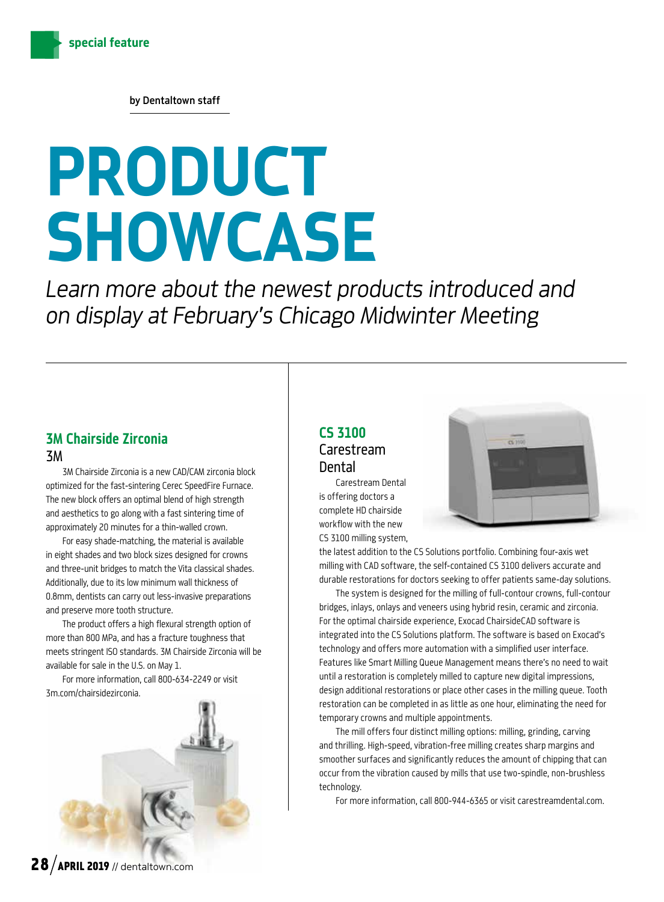by Dentaltown staff

# PRODUCT SHOWCASE

*Learn more about the newest products introduced and on display at February's Chicago Midwinter Meeting*

#### 3M Chairside Zirconia 3M

3M Chairside Zirconia is a new CAD/CAM zirconia block optimized for the fast-sintering Cerec SpeedFire Furnace. The new block offers an optimal blend of high strength and aesthetics to go along with a fast sintering time of approximately 20 minutes for a thin-walled crown.

For easy shade-matching, the material is available in eight shades and two block sizes designed for crowns and three-unit bridges to match the Vita classical shades. Additionally, due to its low minimum wall thickness of 0.8mm, dentists can carry out less-invasive preparations and preserve more tooth structure.

The product offers a high flexural strength option of more than 800 MPa, and has a fracture toughness that meets stringent ISO standards. 3M Chairside Zirconia will be available for sale in the U.S. on May 1.

For more information, call 800-634-2249 or visit 3m.com/chairsidezirconia.



## CS 3100

#### Carestream Dental

Carestream Dental is offering doctors a complete HD chairside workflow with the new CS 3100 milling system,

the latest addition to the CS Solutions portfolio. Combining four-axis wet milling with CAD software, the self-contained CS 3100 delivers accurate and durable restorations for doctors seeking to offer patients same-day solutions.

The system is designed for the milling of full-contour crowns, full-contour bridges, inlays, onlays and veneers using hybrid resin, ceramic and zirconia. For the optimal chairside experience, Exocad ChairsideCAD software is integrated into the CS Solutions platform. The software is based on Exocad's technology and offers more automation with a simplified user interface. Features like Smart Milling Queue Management means there's no need to wait until a restoration is completely milled to capture new digital impressions, design additional restorations or place other cases in the milling queue. Tooth restoration can be completed in as little as one hour, eliminating the need for temporary crowns and multiple appointments.

The mill offers four distinct milling options: milling, grinding, carving and thrilling. High-speed, vibration-free milling creates sharp margins and smoother surfaces and significantly reduces the amount of chipping that can occur from the vibration caused by mills that use two-spindle, non-brushless technology.

For more information, call 800-944-6365 or visit carestreamdental.com.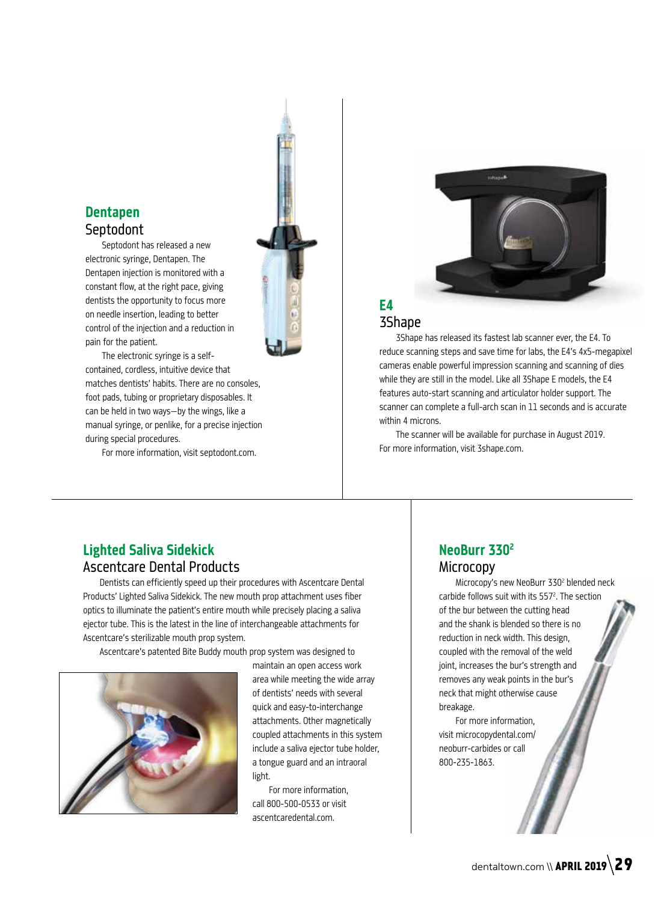#### Dentapen **Septodont**

Septodont has released a new electronic syringe, Dentapen. The Dentapen injection is monitored with a constant flow, at the right pace, giving dentists the opportunity to focus more on needle insertion, leading to better control of the injection and a reduction in pain for the patient.

The electronic syringe is a selfcontained, cordless, intuitive device that matches dentists' habits. There are no consoles, foot pads, tubing or proprietary disposables. It can be held in two ways—by the wings, like a manual syringe, or penlike, for a precise injection during special procedures.

For more information, visit septodont.com.



#### E4 3Shape

3Shape has released its fastest lab scanner ever, the E4. To reduce scanning steps and save time for labs, the E4's 4x5-megapixel cameras enable powerful impression scanning and scanning of dies while they are still in the model. Like all 3Shape E models, the E4 features auto-start scanning and articulator holder support. The scanner can complete a full-arch scan in 11 seconds and is accurate within 4 microns.

The scanner will be available for purchase in August 2019. For more information, visit 3shape.com.

#### Lighted Saliva Sidekick Ascentcare Dental Products

Dentists can efficiently speed up their procedures with Ascentcare Dental Products' Lighted Saliva Sidekick. The new mouth prop attachment uses fiber optics to illuminate the patient's entire mouth while precisely placing a saliva ejector tube. This is the latest in the line of interchangeable attachments for Ascentcare's sterilizable mouth prop system.

Ascentcare's patented Bite Buddy mouth prop system was designed to



maintain an open access work area while meeting the wide array of dentists' needs with several quick and easy-to-interchange attachments. Other magnetically coupled attachments in this system include a saliva ejector tube holder, a tongue guard and an intraoral light.

For more information, call 800-500-0533 or visit ascentcaredental.com.

#### NeoBurr 330<sup>2</sup> Microcopy

Microcopy's new NeoBurr 330<sup>2</sup> blended neck carbide follows suit with its 557<sup>2</sup>. The section of the bur between the cutting head and the shank is blended so there is no reduction in neck width. This design, coupled with the removal of the weld joint, increases the bur's strength and removes any weak points in the bur's neck that might otherwise cause breakage.

For more information, visit microcopydental.com/ neoburr-carbides or call 800-235-1863.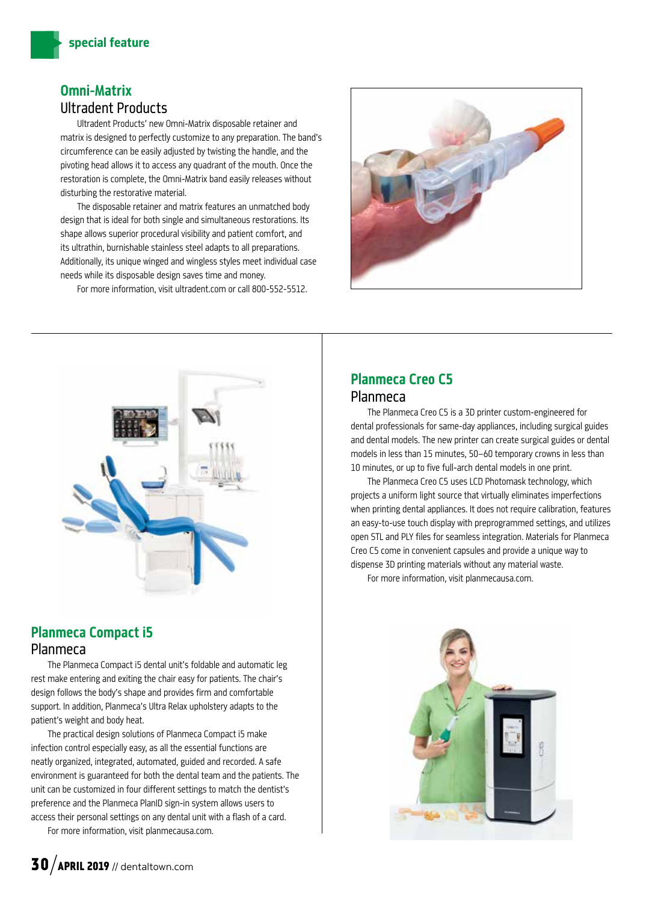#### Omni-Matrix Ultradent Products

Ultradent Products' new Omni-Matrix disposable retainer and matrix is designed to perfectly customize to any preparation. The band's circumference can be easily adjusted by twisting the handle, and the pivoting head allows it to access any quadrant of the mouth. Once the restoration is complete, the Omni-Matrix band easily releases without disturbing the restorative material.

The disposable retainer and matrix features an unmatched body design that is ideal for both single and simultaneous restorations. Its shape allows superior procedural visibility and patient comfort, and its ultrathin, burnishable stainless steel adapts to all preparations. Additionally, its unique winged and wingless styles meet individual case needs while its disposable design saves time and money.

For more information, visit ultradent.com or call 800-552-5512.





#### Planmeca Compact i5 Planmeca

The Planmeca Compact i5 dental unit's foldable and automatic leg rest make entering and exiting the chair easy for patients. The chair's design follows the body's shape and provides firm and comfortable support. In addition, Planmeca's Ultra Relax upholstery adapts to the patient's weight and body heat.

The practical design solutions of Planmeca Compact i5 make infection control especially easy, as all the essential functions are neatly organized, integrated, automated, guided and recorded. A safe environment is guaranteed for both the dental team and the patients. The unit can be customized in four different settings to match the dentist's preference and the Planmeca PlanID sign-in system allows users to access their personal settings on any dental unit with a flash of a card.

For more information, visit planmecausa.com.

#### Planmeca Creo C5 Planmeca

The Planmeca Creo C5 is a 3D printer custom-engineered for dental professionals for same-day appliances, including surgical guides and dental models. The new printer can create surgical guides or dental models in less than 15 minutes, 50–60 temporary crowns in less than 10 minutes, or up to five full-arch dental models in one print.

The Planmeca Creo C5 uses LCD Photomask technology, which projects a uniform light source that virtually eliminates imperfections when printing dental appliances. It does not require calibration, features an easy-to-use touch display with preprogrammed settings, and utilizes open STL and PLY files for seamless integration. Materials for Planmeca Creo C5 come in convenient capsules and provide a unique way to dispense 3D printing materials without any material waste.

For more information, visit planmecausa.com.